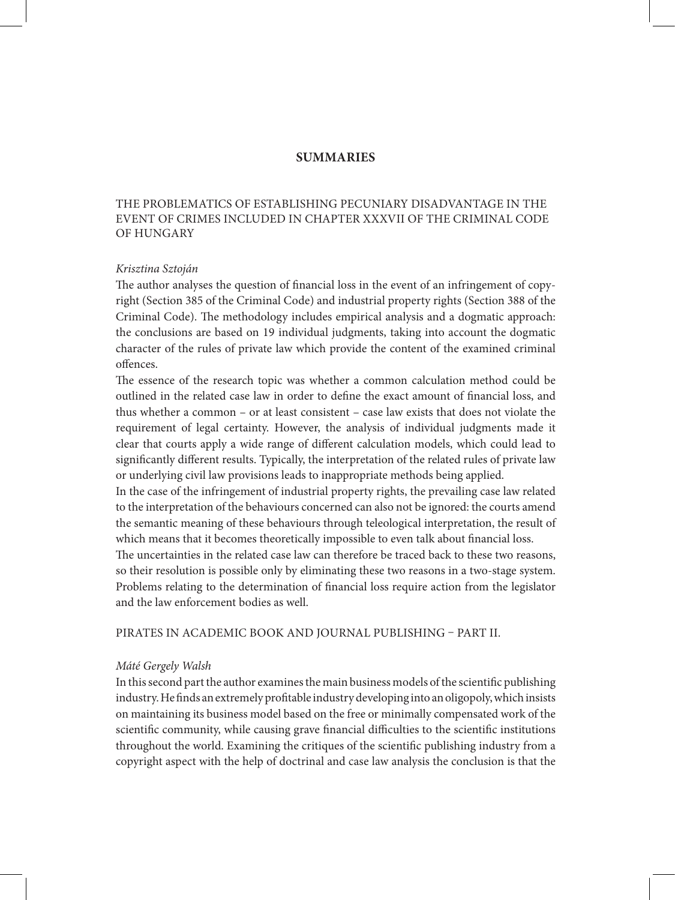# **summaries**

## The problematics of establishing pecuniary disadvantage in the event of crimes included in Chapter XXXVII of the Criminal Code of Hungary

## *Krisztina Sztoján*

The author analyses the question of financial loss in the event of an infringement of copyright (Section 385 of the Criminal Code) and industrial property rights (Section 388 of the Criminal Code). The methodology includes empirical analysis and a dogmatic approach: the conclusions are based on 19 individual judgments, taking into account the dogmatic character of the rules of private law which provide the content of the examined criminal offences.

The essence of the research topic was whether a common calculation method could be outlined in the related case law in order to define the exact amount of financial loss, and thus whether a common – or at least consistent – case law exists that does not violate the requirement of legal certainty. However, the analysis of individual judgments made it clear that courts apply a wide range of different calculation models, which could lead to significantly different results. Typically, the interpretation of the related rules of private law or underlying civil law provisions leads to inappropriate methods being applied.

In the case of the infringement of industrial property rights, the prevailing case law related to the interpretation of the behaviours concerned can also not be ignored: the courts amend the semantic meaning of these behaviours through teleological interpretation, the result of which means that it becomes theoretically impossible to even talk about financial loss.

The uncertainties in the related case law can therefore be traced back to these two reasons, so their resolution is possible only by eliminating these two reasons in a two-stage system. Problems relating to the determination of financial loss require action from the legislator and the law enforcement bodies as well.

Pirates in academic book and journal publishing – Part II.

#### *Máté Gergely Walsh*

In this second part the author examines the main business models of the scientific publishing industry. He finds an extremely profitable industry developing into an oligopoly, which insists on maintaining its business model based on the free or minimally compensated work of the scientific community, while causing grave financial difficulties to the scientific institutions throughout the world. Examining the critiques of the scientific publishing industry from a copyright aspect with the help of doctrinal and case law analysis the conclusion is that the